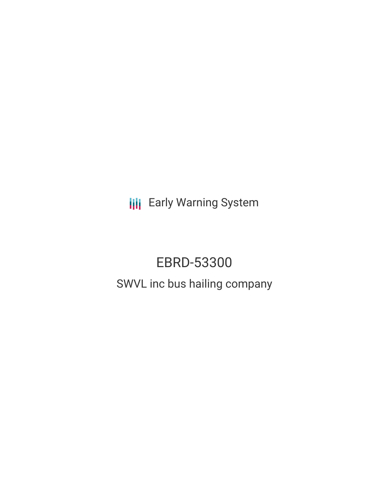**III** Early Warning System

# EBRD-53300

# SWVL inc bus hailing company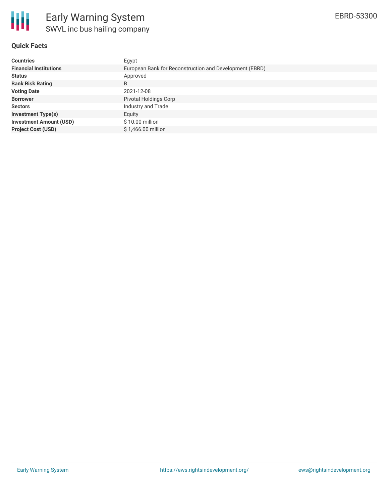

## **Quick Facts**

| <b>Countries</b>               | Egypt                                                   |  |  |  |  |
|--------------------------------|---------------------------------------------------------|--|--|--|--|
| <b>Financial Institutions</b>  | European Bank for Reconstruction and Development (EBRD) |  |  |  |  |
| <b>Status</b>                  | Approved                                                |  |  |  |  |
| <b>Bank Risk Rating</b>        | B                                                       |  |  |  |  |
| <b>Voting Date</b>             | 2021-12-08                                              |  |  |  |  |
| <b>Borrower</b>                | Pivotal Holdings Corp                                   |  |  |  |  |
| <b>Sectors</b>                 | Industry and Trade                                      |  |  |  |  |
| <b>Investment Type(s)</b>      | Equity                                                  |  |  |  |  |
| <b>Investment Amount (USD)</b> | \$10.00 million                                         |  |  |  |  |
| <b>Project Cost (USD)</b>      | \$1,466,00 million                                      |  |  |  |  |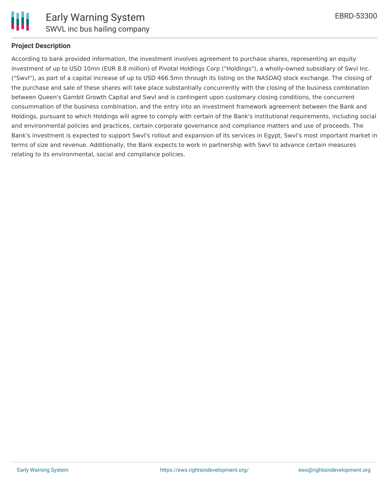

### **Project Description**

According to bank provided information, the investment involves agreement to purchase shares, representing an equity investment of up to USD 10mn (EUR 8.8 million) of Pivotal Holdings Corp ("Holdings"), a wholly-owned subsidiary of Swvl Inc. ("Swvl"), as part of a capital increase of up to USD 466.5mn through its listing on the NASDAQ stock exchange. The closing of the purchase and sale of these shares will take place substantially concurrently with the closing of the business combination between Queen's Gambit Growth Capital and Swvl and is contingent upon customary closing conditions, the concurrent consummation of the business combination, and the entry into an investment framework agreement between the Bank and Holdings, pursuant to which Holdings will agree to comply with certain of the Bank's institutional requirements, including social and environmental policies and practices, certain corporate governance and compliance matters and use of proceeds. The Bank's investment is expected to support Swvl's rollout and expansion of its services in Egypt, Swvl's most important market in terms of size and revenue. Additionally, the Bank expects to work in partnership with Swvl to advance certain measures relating to its environmental, social and compliance policies.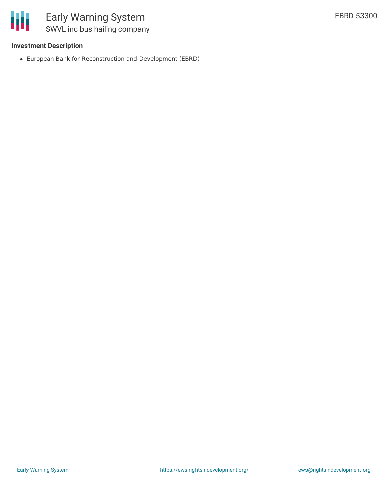

#### **Investment Description**

European Bank for Reconstruction and Development (EBRD)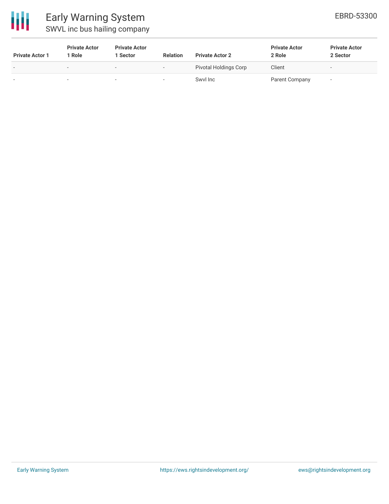

| <b>Private Actor 1</b> | <b>Private Actor</b><br>Role | <b>Private Actor</b><br>1 Sector | <b>Relation</b> | <b>Private Actor 2</b> | <b>Private Actor</b><br>2 Role | <b>Private Actor</b><br>2 Sector |
|------------------------|------------------------------|----------------------------------|-----------------|------------------------|--------------------------------|----------------------------------|
|                        | $\overline{\phantom{a}}$     | $\sim$                           | $\sim$          | Pivotal Holdings Corp  | Client                         | -                                |
|                        | $\overline{\phantom{a}}$     |                                  |                 | Swyl Inc               | Parent Company                 | -                                |